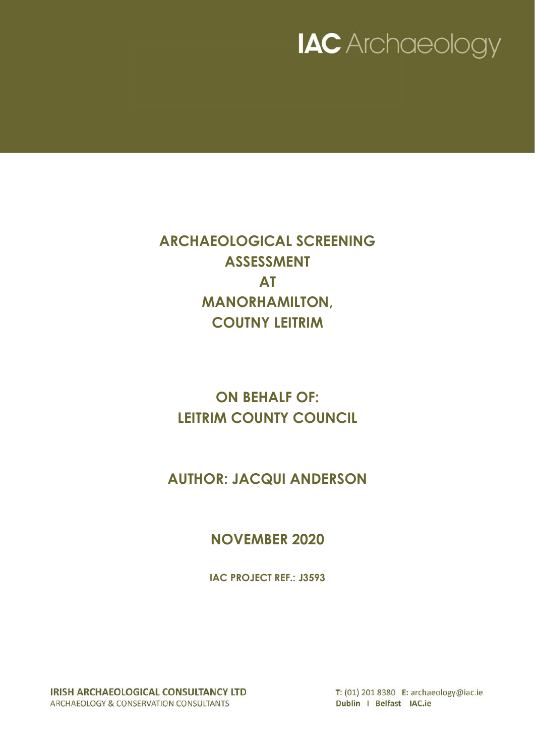

**ARCHAEOLOGICAL SCREENING ASSESSMENT AT MANORHAMILTON, COUTNY LEITRIM**

**ON BEHALF OF: LEITRIM COUNTY COUNCIL**

**AUTHOR: JACQUI ANDERSON**

**NOVEMBER 2020**

**IAC PROJECT REF.: J3593**

IRISH ARCHAEOLOGICAL CONSULTANCY LTD ARCHAEOLOGY & CONSERVATION CONSULTANTS

T: (01) 201 8380 E: archaeology@iac.ie Dublin I Belfast IAC.ie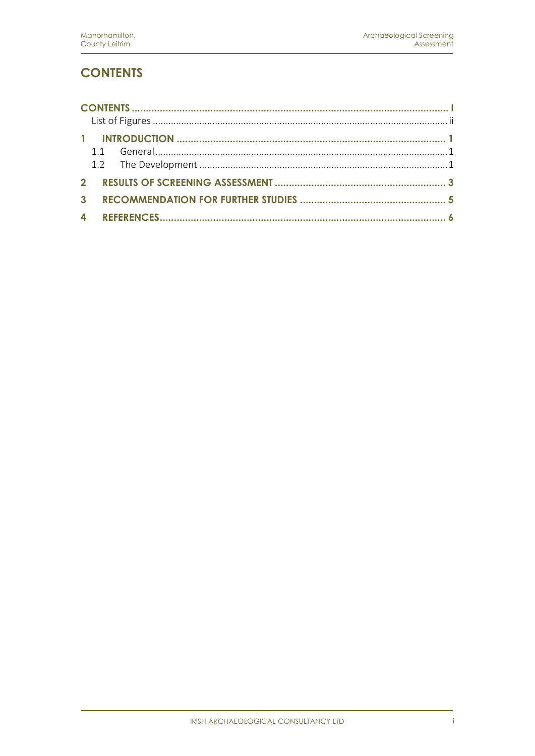# <span id="page-2-0"></span>**CONTENTS**

| $\mathbf{P}$     |  |
|------------------|--|
| $\mathbf{3}$     |  |
| $\blacktriangle$ |  |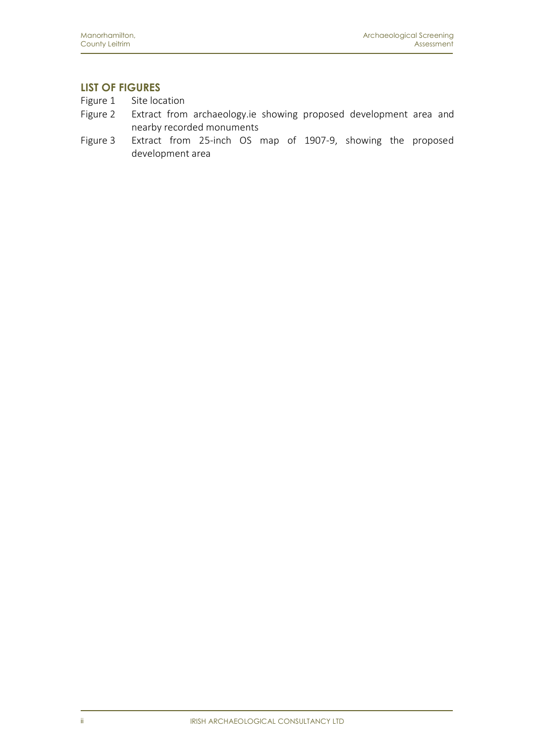### <span id="page-3-0"></span>**LIST OF FIGURES**

- Figure 1 Site location
- Figure 2 Extract from archaeology.ie showing proposed development area and nearby recorded monuments
- Figure 3 Extract from 25-inch OS map of 1907-9, showing the proposed development area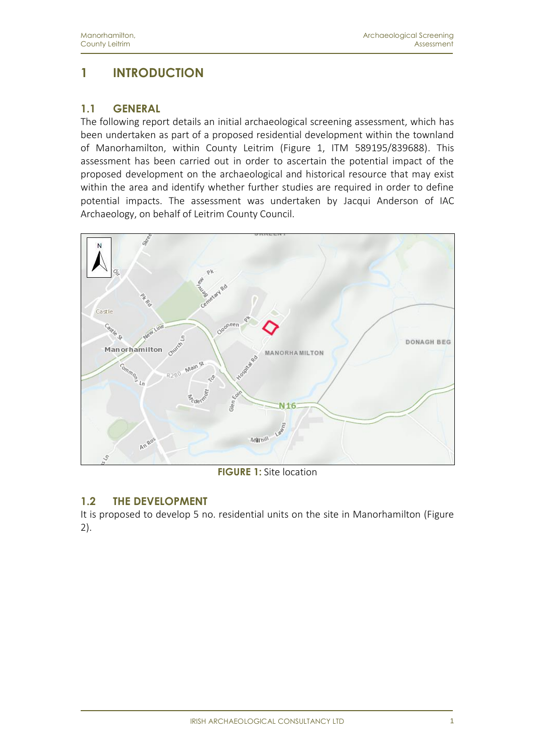# <span id="page-4-0"></span>**1 INTRODUCTION**

#### <span id="page-4-1"></span>**1.1 GENERAL**

The following report details an initial archaeological screening assessment, which has been undertaken as part of a proposed residential development within the townland of Manorhamilton, within County Leitrim (Figure 1, ITM 589195/839688). This assessment has been carried out in order to ascertain the potential impact of the proposed development on the archaeological and historical resource that may exist within the area and identify whether further studies are required in order to define potential impacts. The assessment was undertaken by Jacqui Anderson of IAC Archaeology, on behalf of Leitrim County Council.



**FIGURE 1:** Site location

### <span id="page-4-2"></span>**1.2 THE DEVELOPMENT**

It is proposed to develop 5 no. residential units on the site in Manorhamilton (Figure 2).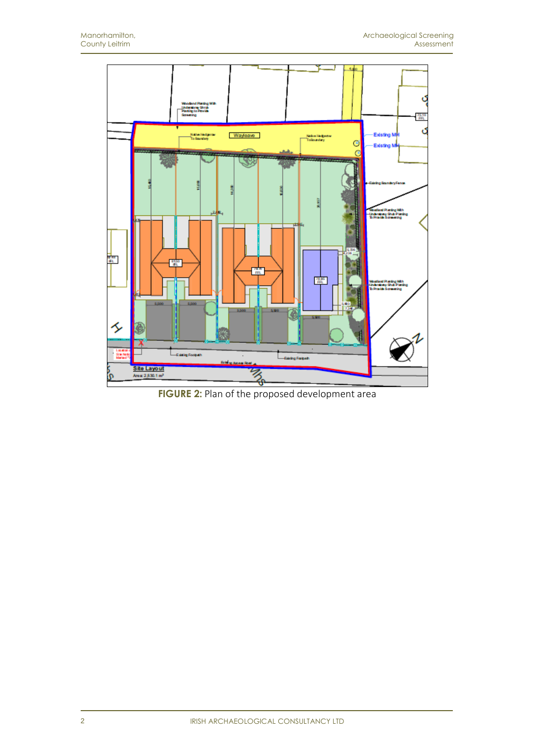

**FIGURE 2:** Plan of the proposed development area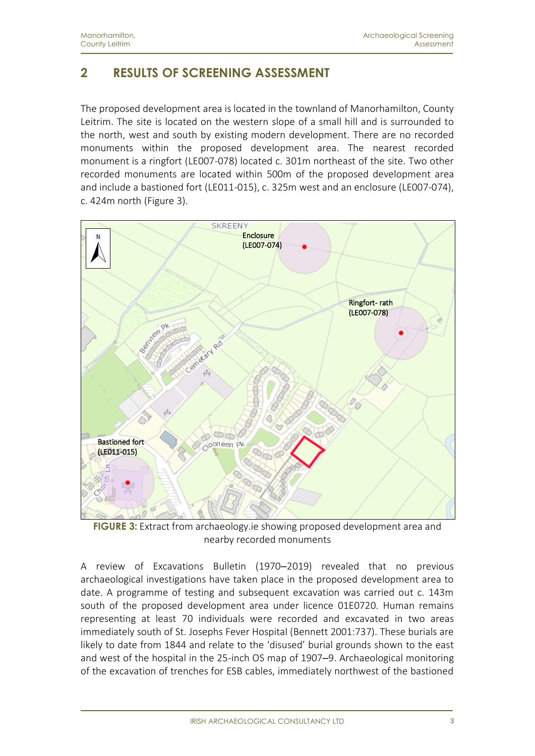# <span id="page-6-0"></span>**2 RESULTS OF SCREENING ASSESSMENT**

The proposed development area is located in the townland of Manorhamilton, County Leitrim. The site is located on the western slope of a small hill and is surrounded to the north, west and south by existing modern development. There are no recorded monuments within the proposed development area. The nearest recorded monument is a ringfort (LE007-078) located c. 301m northeast of the site. Two other recorded monuments are located within 500m of the proposed development area and include a bastioned fort (LE011-015), c. 325m west and an enclosure (LE007-074), c. 424m north (Figure 3).



**FIGURE 3:** Extract from archaeology.ie showing proposed development area and nearby recorded monuments

A review of Excavations Bulletin (1970–2019) revealed that no previous archaeological investigations have taken place in the proposed development area to date. A programme of testing and subsequent excavation was carried out c. 143m south of the proposed development area under licence 01E0720. Human remains representing at least 70 individuals were recorded and excavated in two areas immediately south of St. Josephs Fever Hospital (Bennett 2001:737). These burials are likely to date from 1844 and relate to the 'disused' burial grounds shown to the east and west of the hospital in the 25-inch OS map of 1907–9. Archaeological monitoring of the excavation of trenches for ESB cables, immediately northwest of the bastioned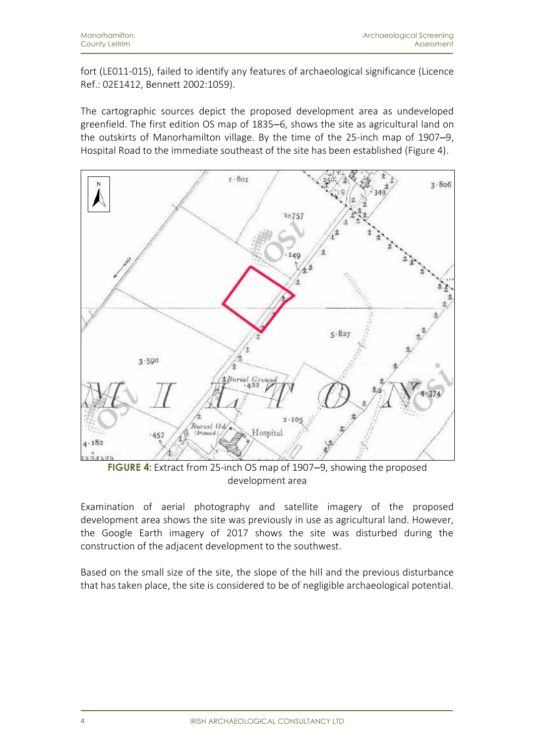fort (LE011-015), failed to identify any features of archaeological significance (Licence Ref.: 02E1412, Bennett 2002:1059).

The cartographic sources depict the proposed development area as undeveloped greenfield. The first edition OS map of 1835–6, shows the site as agricultural land on the outskirts of Manorhamilton village. By the time of the 25-inch map of 1907–9, Hospital Road to the immediate southeast of the site has been established (Figure 4).



**FIGURE 4:** Extract from 25-inch OS map of 1907–9, showing the proposed development area

Examination of aerial photography and satellite imagery of the proposed development area shows the site was previously in use as agricultural land. However, the Google Earth imagery of 2017 shows the site was disturbed during the construction of the adjacent development to the southwest.

Based on the small size of the site, the slope of the hill and the previous disturbance that has taken place, the site is considered to be of negligible archaeological potential.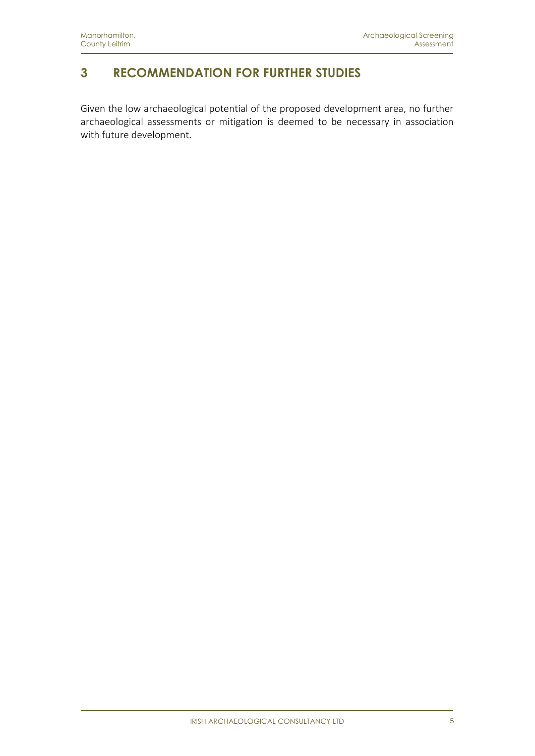## <span id="page-8-0"></span>**3 RECOMMENDATION FOR FURTHER STUDIES**

Given the low archaeological potential of the proposed development area, no further archaeological assessments or mitigation is deemed to be necessary in association with future development.